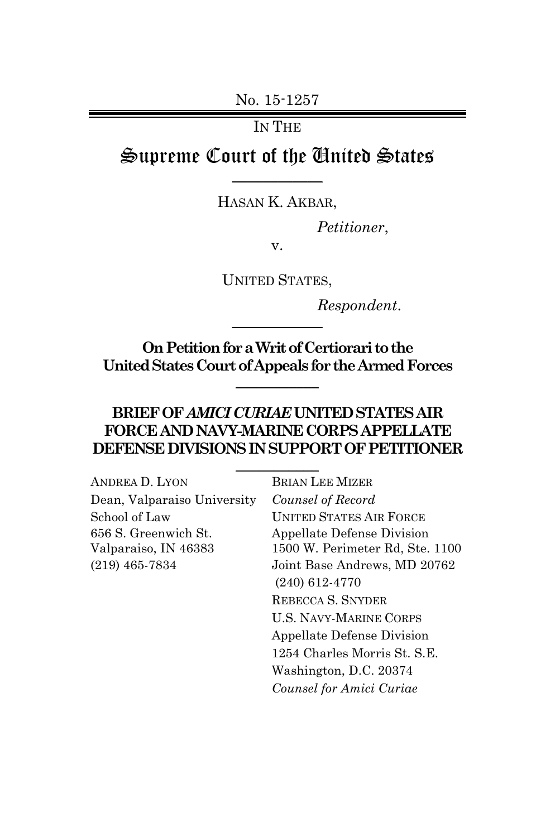No. 15-1257

IN THE

# Supreme Court of the United States  $\frac{1}{2}$

ֺ HASAN K. AKBAR,

*Petitioner*,

v.

UNITED STATES,

*Respondent*.

**On Petition for aWrit of Certiorari to the United States Court of Appealsfor the Armed Forces**  $\frac{1}{2}$  ,  $\frac{1}{2}$  ,  $\frac{1}{2}$  ,  $\frac{1}{2}$  ,  $\frac{1}{2}$ 

 $\frac{1}{2}$ 

### **BRIEF OF** *AMICICURIAE* **UNITED STATES AIR FORCE AND NAVY-MARINE CORPS APPELLATE DEFENSE DIVISIONSIN SUPPORT OF PETITIONER**

 $\frac{1}{2}$  ,  $\frac{1}{2}$  ,  $\frac{1}{2}$  ,  $\frac{1}{2}$  ,  $\frac{1}{2}$ 

| ANDREA D. LYON              | <b>BRIAN LEE MIZER</b>          |
|-----------------------------|---------------------------------|
| Dean, Valparaiso University | Counsel of Record               |
| School of Law               | <b>UNITED STATES AIR FORCE</b>  |
| 656 S. Greenwich St.        | Appellate Defense Division      |
| Valparaiso, IN 46383        | 1500 W. Perimeter Rd, Ste. 1100 |
| $(219)$ 465-7834            | Joint Base Andrews, MD 20762    |
|                             | $(240)$ 612-4770                |
|                             | REBECCA S. SNYDER               |
|                             | <b>U.S. NAVY-MARINE CORPS</b>   |
|                             | Appellate Defense Division      |
|                             | 1254 Charles Morris St. S.E.    |
|                             | Washington, D.C. 20374          |
|                             | Counsel for Amici Curiae        |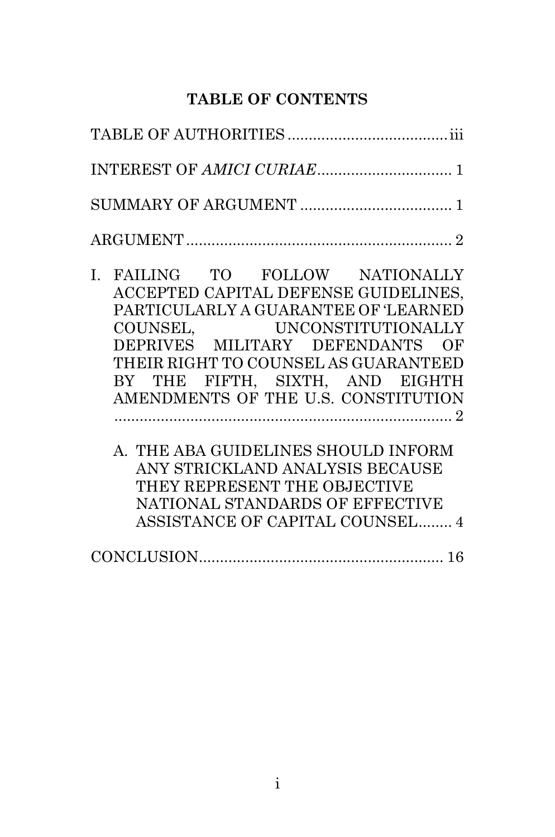### **TABLE OF CONTENTS**

| T BITTING MO BOTTOW MINICIPALITY |  |
|----------------------------------|--|

- I. FAILING TO FOLLOW NATIONALLY ACCEPTED CAPITAL DEFENSE GUIDELINES, PARTICULARLY A GUARANTEE OF 'LEARNED COUNSEL, UNCONSTITUTIONALLY DEPRIVES MILITARY DEFENDANTS OF THEIR RIGHT TO COUNSEL AS GUARANTEED BY THE FIFTH, SIXTH, AND EIGHTH AMENDMENTS OF THE U.S. CONSTITUTION ................................................................................ 2
	- A. THE ABA GUIDELINES SHOULD INFORM ANY STRICKLAND ANALYSIS BECAUSE THEY REPRESENT THE OBJECTIVE NATIONAL STANDARDS OF EFFECTIVE ASSISTANCE OF CAPITAL COUNSEL........ 4

|--|--|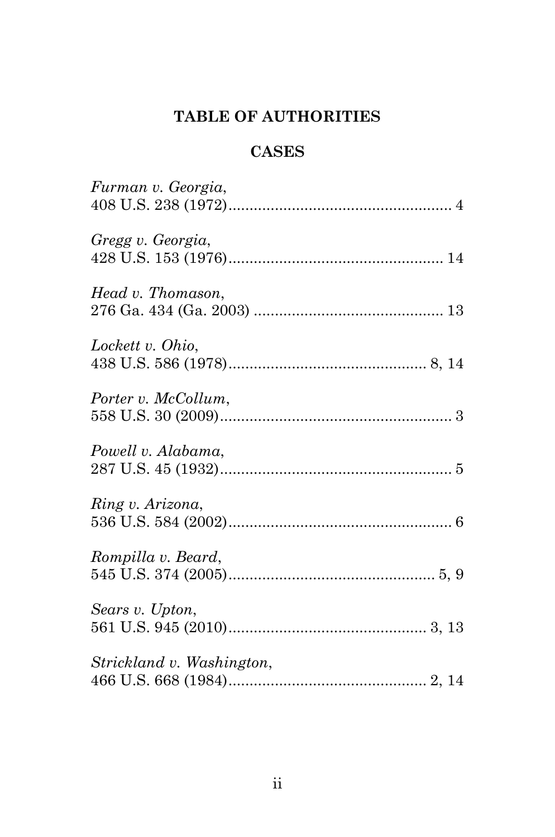# **TABLE OF AUTHORITIES**

## **CASES**

| Furman v. Georgia,        |  |
|---------------------------|--|
| Gregg v. Georgia,         |  |
| Head v. Thomason,         |  |
| Lockett v. Ohio,          |  |
| Porter v. McCollum,       |  |
| Powell v. Alabama,        |  |
| Ring v. Arizona,          |  |
| Rompilla v. Beard,        |  |
| Sears v. Upton,           |  |
| Strickland v. Washington, |  |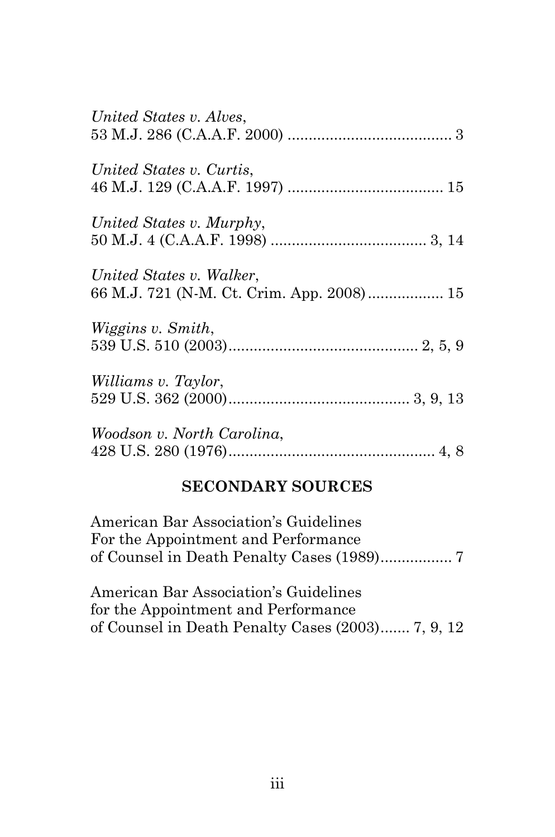| United States v. Alves,                                               |
|-----------------------------------------------------------------------|
| United States v. Curtis,                                              |
| United States v. Murphy,                                              |
| United States v. Walker,<br>66 M.J. 721 (N-M. Ct. Crim. App. 2008) 15 |
| <i>Wiggins v. Smith,</i>                                              |
| Williams v. Taylor,                                                   |
| Woodson v. North Carolina,                                            |

## **SECONDARY SOURCES**

| American Bar Association's Guidelines |  |
|---------------------------------------|--|
| For the Appointment and Performance   |  |
|                                       |  |

American Bar Association's Guidelines for the Appointment and Performance of Counsel in Death Penalty Cases (2003)....... 7, 9, 12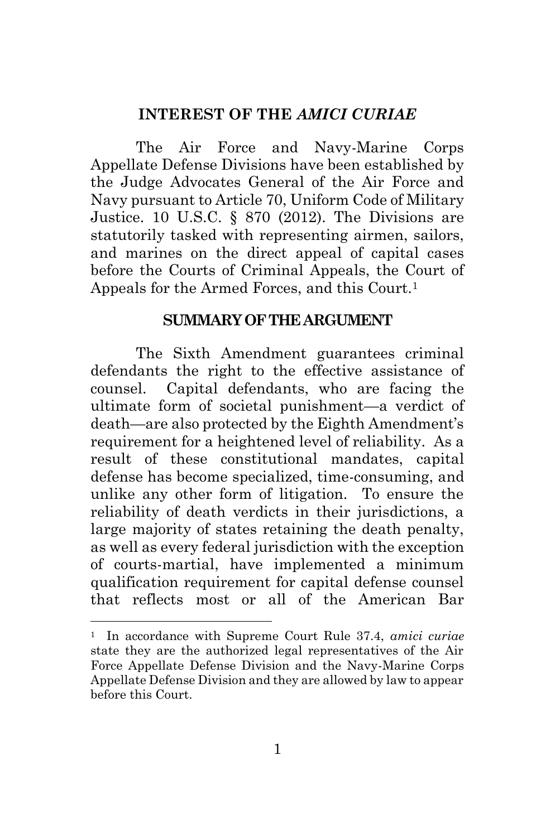#### **INTEREST OF THE** *AMICI CURIAE*

The Air Force and Navy-Marine Corps Appellate Defense Divisions have been established by the Judge Advocates General of the Air Force and Navy pursuant to Article 70, Uniform Code of Military Justice. 10 U.S.C. § 870 (2012). The Divisions are statutorily tasked with representing airmen, sailors, and marines on the direct appeal of capital cases before the Courts of Criminal Appeals, the Court of Appeals for the Armed Forces, and this Court.<sup>1</sup>

#### **SUMMARY OF THE ARGUMENT**

The Sixth Amendment guarantees criminal defendants the right to the effective assistance of counsel. Capital defendants, who are facing the ultimate form of societal punishment—a verdict of death—are also protected by the Eighth Amendment's requirement for a heightened level of reliability. As a result of these constitutional mandates, capital defense has become specialized, time-consuming, and unlike any other form of litigation. To ensure the reliability of death verdicts in their jurisdictions, a large majority of states retaining the death penalty, as well as every federal jurisdiction with the exception of courts-martial, have implemented a minimum qualification requirement for capital defense counsel that reflects most or all of the American Bar

<sup>1</sup> In accordance with Supreme Court Rule 37.4, *amici curiae* state they are the authorized legal representatives of the Air Force Appellate Defense Division and the Navy-Marine Corps Appellate Defense Division and they are allowed by law to appear before this Court.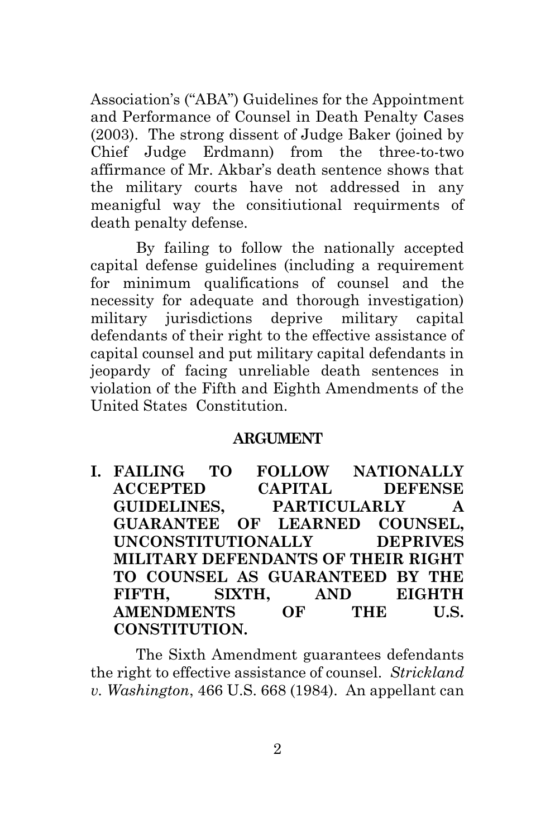Association's ("ABA") Guidelines for the Appointment and Performance of Counsel in Death Penalty Cases (2003). The strong dissent of Judge Baker (joined by Chief Judge Erdmann) from the three-to-two affirmance of Mr. Akbar's death sentence shows that the military courts have not addressed in any meanigful way the consitiutional requirments of death penalty defense.

By failing to follow the nationally accepted capital defense guidelines (including a requirement for minimum qualifications of counsel and the necessity for adequate and thorough investigation) military jurisdictions deprive military capital defendants of their right to the effective assistance of capital counsel and put military capital defendants in jeopardy of facing unreliable death sentences in violation of the Fifth and Eighth Amendments of the United States Constitution.

#### **ARGUMENT**

**I. FAILING TO FOLLOW NATIONALLY ACCEPTED CAPITAL DEFENSE GUIDELINES, PARTICULARLY A GUARANTEE OF LEARNED COUNSEL, UNCONSTITUTIONALLY DEPRIVES MILITARY DEFENDANTS OF THEIR RIGHT TO COUNSEL AS GUARANTEED BY THE FIFTH, SIXTH, AND EIGHTH AMENDMENTS OF THE U.S. CONSTITUTION.**

The Sixth Amendment guarantees defendants the right to effective assistance of counsel. *Strickland v. Washington*, 466 U.S. 668 (1984). An appellant can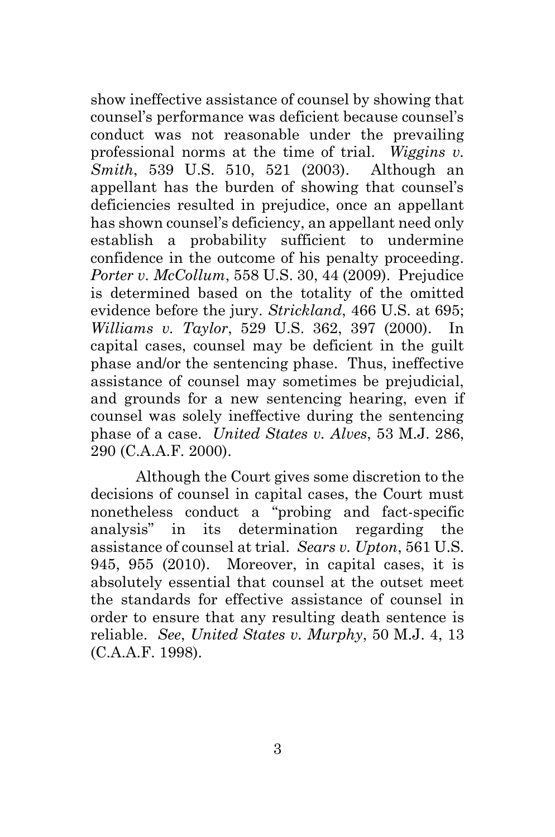show ineffective assistance of counsel by showing that counsel's performance was deficient because counsel's conduct was not reasonable under the prevailing professional norms at the time of trial. *Wiggins v. Smith*, 539 U.S. 510, 521 (2003). Although an appellant has the burden of showing that counsel's deficiencies resulted in prejudice, once an appellant has shown counsel's deficiency, an appellant need only establish a probability sufficient to undermine confidence in the outcome of his penalty proceeding. *Porter v. McCollum*, 558 U.S. 30, 44 (2009). Prejudice is determined based on the totality of the omitted evidence before the jury. *Strickland*, 466 U.S. at 695; *Williams v. Taylor*, 529 U.S. 362, 397 (2000). In capital cases, counsel may be deficient in the guilt phase and/or the sentencing phase. Thus, ineffective assistance of counsel may sometimes be prejudicial, and grounds for a new sentencing hearing, even if counsel was solely ineffective during the sentencing phase of a case. *United States v. Alves*, 53 M.J. 286, 290 (C.A.A.F. 2000).

Although the Court gives some discretion to the decisions of counsel in capital cases, the Court must nonetheless conduct a "probing and fact-specific analysis" in its determination regarding the assistance of counsel at trial. *Sears v. Upton*, 561 U.S. 945, 955 (2010). Moreover, in capital cases, it is absolutely essential that counsel at the outset meet the standards for effective assistance of counsel in order to ensure that any resulting death sentence is reliable. *See*, *United States v. Murphy*, 50 M.J. 4, 13 (C.A.A.F. 1998).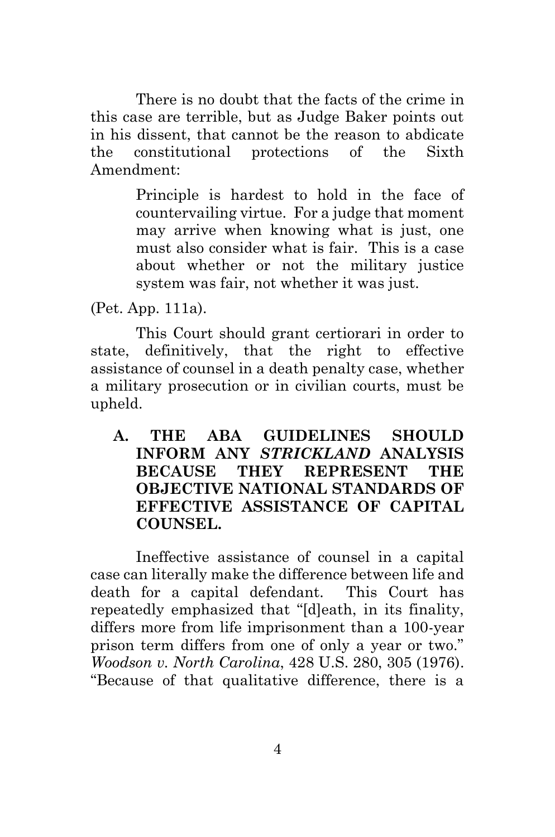There is no doubt that the facts of the crime in this case are terrible, but as Judge Baker points out in his dissent, that cannot be the reason to abdicate the constitutional protections of the Sixth Amendment:

> Principle is hardest to hold in the face of countervailing virtue. For a judge that moment may arrive when knowing what is just, one must also consider what is fair. This is a case about whether or not the military justice system was fair, not whether it was just.

(Pet. App. 111a).

This Court should grant certiorari in order to state, definitively, that the right to effective assistance of counsel in a death penalty case, whether a military prosecution or in civilian courts, must be upheld.

**A. THE ABA GUIDELINES SHOULD INFORM ANY** *STRICKLAND* **ANALYSIS BECAUSE THEY REPRESENT THE OBJECTIVE NATIONAL STANDARDS OF EFFECTIVE ASSISTANCE OF CAPITAL COUNSEL.**

Ineffective assistance of counsel in a capital case can literally make the difference between life and death for a capital defendant. This Court has repeatedly emphasized that "[d]eath, in its finality, differs more from life imprisonment than a 100-year prison term differs from one of only a year or two." *Woodson v. North Carolina*, 428 U.S. 280, 305 (1976). "Because of that qualitative difference, there is a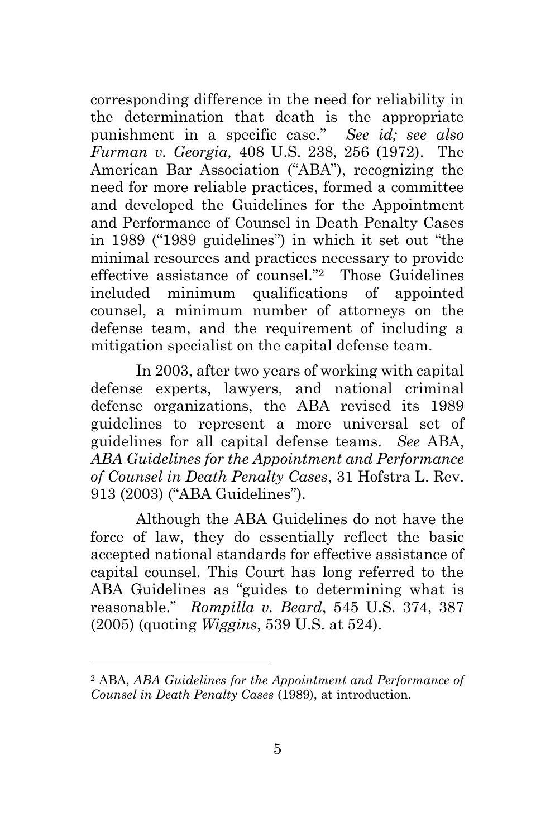corresponding difference in the need for reliability in the determination that death is the appropriate punishment in a specific case." *See id; see also Furman v. Georgia,* 408 U.S. 238, 256 (1972). The American Bar Association ("ABA"), recognizing the need for more reliable practices, formed a committee and developed the Guidelines for the Appointment and Performance of Counsel in Death Penalty Cases in 1989 ("1989 guidelines") in which it set out "the minimal resources and practices necessary to provide effective assistance of counsel."2 Those Guidelines included minimum qualifications of appointed counsel, a minimum number of attorneys on the defense team, and the requirement of including a mitigation specialist on the capital defense team.

In 2003, after two years of working with capital defense experts, lawyers, and national criminal defense organizations, the ABA revised its 1989 guidelines to represent a more universal set of guidelines for all capital defense teams. *See* ABA, *ABA Guidelines for the Appointment and Performance of Counsel in Death Penalty Cases*, 31 Hofstra L. Rev. 913 (2003) ("ABA Guidelines").

Although the ABA Guidelines do not have the force of law, they do essentially reflect the basic accepted national standards for effective assistance of capital counsel. This Court has long referred to the ABA Guidelines as "guides to determining what is reasonable." *Rompilla v. Beard*, 545 U.S. 374, 387 (2005) (quoting *Wiggins*, 539 U.S. at 524).

<sup>2</sup> ABA, *ABA Guidelines for the Appointment and Performance of Counsel in Death Penalty Cases* (1989), at introduction.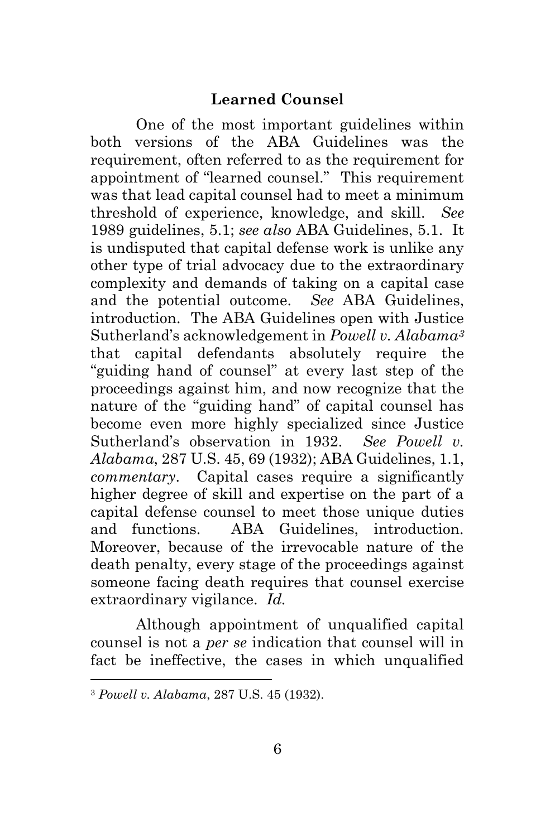One of the most important guidelines within both versions of the ABA Guidelines was the requirement, often referred to as the requirement for appointment of "learned counsel." This requirement was that lead capital counsel had to meet a minimum threshold of experience, knowledge, and skill. *See* 1989 guidelines, 5.1; *see also* ABA Guidelines, 5.1. It is undisputed that capital defense work is unlike any other type of trial advocacy due to the extraordinary complexity and demands of taking on a capital case and the potential outcome. *See* ABA Guidelines, introduction. The ABA Guidelines open with Justice Sutherland's acknowledgement in *Powell v. Alabama<sup>3</sup>* that capital defendants absolutely require the "guiding hand of counsel" at every last step of the proceedings against him, and now recognize that the nature of the "guiding hand" of capital counsel has become even more highly specialized since Justice Sutherland's observation in 1932. *See Powell v. Alabama*, 287 U.S. 45, 69 (1932); ABA Guidelines, 1.1, *commentary*. Capital cases require a significantly higher degree of skill and expertise on the part of a capital defense counsel to meet those unique duties and functions. ABA Guidelines, introduction. Moreover, because of the irrevocable nature of the death penalty, every stage of the proceedings against someone facing death requires that counsel exercise extraordinary vigilance. *Id.*

Although appointment of unqualified capital counsel is not a *per se* indication that counsel will in fact be ineffective, the cases in which unqualified

<sup>3</sup> *Powell v. Alabama*, 287 U.S. 45 (1932).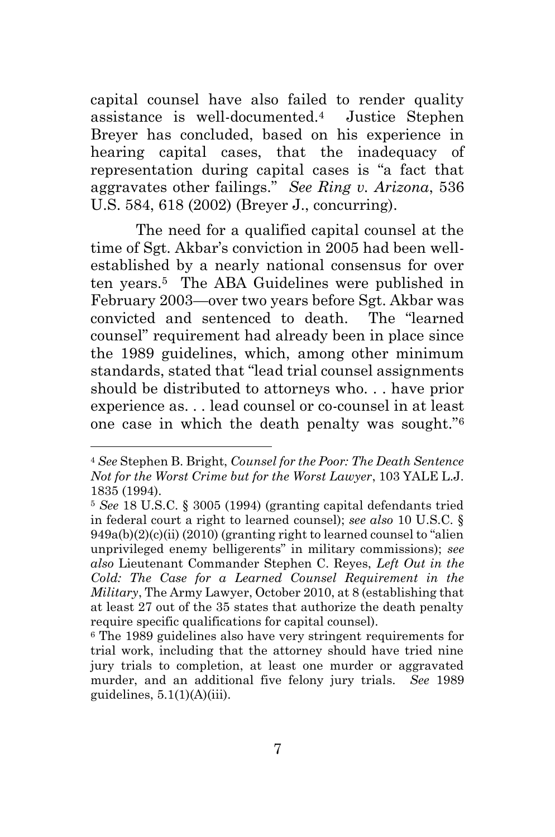capital counsel have also failed to render quality assistance is well-documented.4 Justice Stephen Breyer has concluded, based on his experience in hearing capital cases, that the inadequacy of representation during capital cases is "a fact that aggravates other failings." *See Ring v. Arizona*, 536 U.S. 584, 618 (2002) (Breyer J., concurring).

The need for a qualified capital counsel at the time of Sgt. Akbar's conviction in 2005 had been wellestablished by a nearly national consensus for over ten years.5 The ABA Guidelines were published in February 2003—over two years before Sgt. Akbar was convicted and sentenced to death. The "learned counsel" requirement had already been in place since the 1989 guidelines, which, among other minimum standards, stated that "lead trial counsel assignments should be distributed to attorneys who. . . have prior experience as. . . lead counsel or co-counsel in at least one case in which the death penalty was sought."<sup>6</sup>

<sup>4</sup> *See* Stephen B. Bright, *Counsel for the Poor: The Death Sentence Not for the Worst Crime but for the Worst Lawyer*, 103 YALE L.J. 1835 (1994).

<sup>5</sup> *See* 18 U.S.C. § 3005 (1994) (granting capital defendants tried in federal court a right to learned counsel); *see also* 10 U.S.C. §  $949a(b)(2)(c)(ii)$  (2010) (granting right to learned counsel to "alien unprivileged enemy belligerents" in military commissions); *see also* Lieutenant Commander Stephen C. Reyes, *Left Out in the Cold: The Case for a Learned Counsel Requirement in the Military*, The Army Lawyer, October 2010, at 8 (establishing that at least 27 out of the 35 states that authorize the death penalty require specific qualifications for capital counsel).

<sup>6</sup> The 1989 guidelines also have very stringent requirements for trial work, including that the attorney should have tried nine jury trials to completion, at least one murder or aggravated murder, and an additional five felony jury trials. *See* 1989 guidelines,  $5.1(1)(A)(iii)$ .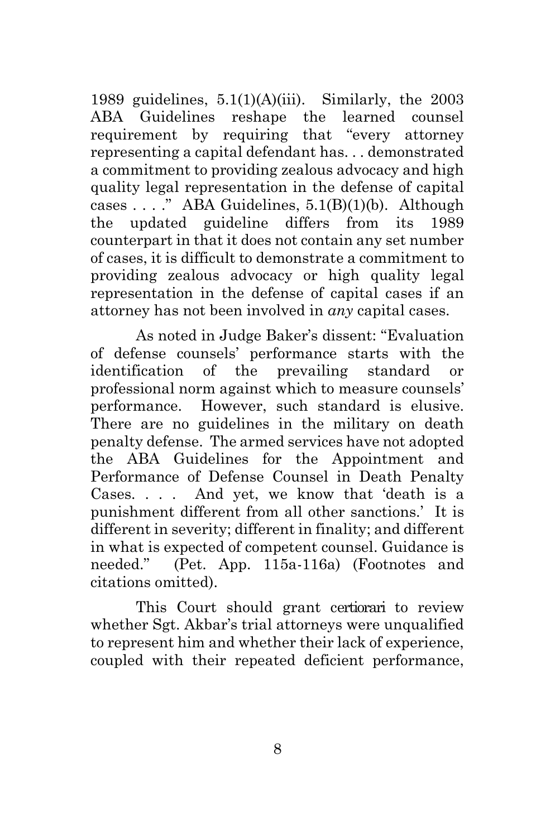1989 guidelines,  $5.1(1)(A)(iii)$ . Similarly, the 2003 ABA Guidelines reshape the learned counsel requirement by requiring that "every attorney representing a capital defendant has. . . demonstrated a commitment to providing zealous advocacy and high quality legal representation in the defense of capital cases  $\ldots$ ." ABA Guidelines,  $5.1(B)(1)(b)$ . Although the updated guideline differs from its 1989 counterpart in that it does not contain any set number of cases, it is difficult to demonstrate a commitment to providing zealous advocacy or high quality legal representation in the defense of capital cases if an attorney has not been involved in *any* capital cases.

As noted in Judge Baker's dissent: "Evaluation of defense counsels' performance starts with the identification of the prevailing standard professional norm against which to measure counsels' performance. However, such standard is elusive. There are no guidelines in the military on death penalty defense. The armed services have not adopted the ABA Guidelines for the Appointment and Performance of Defense Counsel in Death Penalty Cases. . . . And yet, we know that 'death is a punishment different from all other sanctions.' It is different in severity; different in finality; and different in what is expected of competent counsel. Guidance is needed." (Pet. App. 115a-116a) (Footnotes and citations omitted).

This Court should grant certiorari to review whether Sgt. Akbar's trial attorneys were unqualified to represent him and whether their lack of experience, coupled with their repeated deficient performance,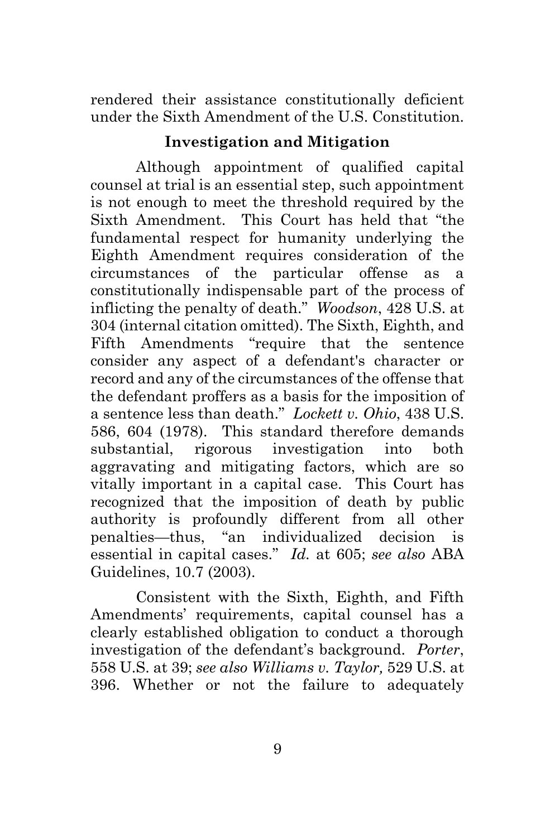rendered their assistance constitutionally deficient under the Sixth Amendment of the U.S. Constitution.

#### **Investigation and Mitigation**

Although appointment of qualified capital counsel at trial is an essential step, such appointment is not enough to meet the threshold required by the Sixth Amendment. This Court has held that "the fundamental respect for humanity underlying the Eighth Amendment requires consideration of the circumstances of the particular offense as a constitutionally indispensable part of the process of inflicting the penalty of death." *Woodson*, 428 U.S. at 304 (internal citation omitted). The Sixth, Eighth, and Fifth Amendments "require that the sentence consider any aspect of a defendant's character or record and any of the circumstances of the offense that the defendant proffers as a basis for the imposition of a sentence less than death." *Lockett v. Ohio*, 438 U.S. 586, 604 (1978). This standard therefore demands substantial, rigorous investigation into both aggravating and mitigating factors, which are so vitally important in a capital case. This Court has recognized that the imposition of death by public authority is profoundly different from all other penalties—thus, "an individualized decision is essential in capital cases." *Id.* at 605; *see also* ABA Guidelines, 10.7 (2003).

Consistent with the Sixth, Eighth, and Fifth Amendments' requirements, capital counsel has a clearly established obligation to conduct a thorough investigation of the defendant's background. *Porter*, 558 U.S. at 39; *see also Williams v. Taylor,* 529 U.S. at 396. Whether or not the failure to adequately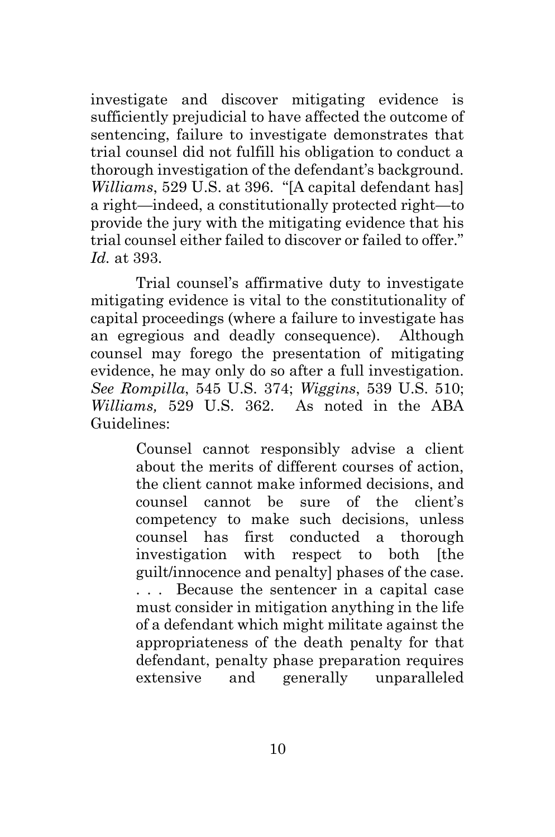investigate and discover mitigating evidence is sufficiently prejudicial to have affected the outcome of sentencing, failure to investigate demonstrates that trial counsel did not fulfill his obligation to conduct a thorough investigation of the defendant's background. *Williams*, 529 U.S. at 396. "[A capital defendant has] a right—indeed, a constitutionally protected right—to provide the jury with the mitigating evidence that his trial counsel either failed to discover or failed to offer." *Id.* at 393.

Trial counsel's affirmative duty to investigate mitigating evidence is vital to the constitutionality of capital proceedings (where a failure to investigate has an egregious and deadly consequence). Although counsel may forego the presentation of mitigating evidence, he may only do so after a full investigation. *See Rompilla*, 545 U.S. 374; *Wiggins*, 539 U.S. 510; *Williams,* 529 U.S. 362. As noted in the ABA Guidelines:

> Counsel cannot responsibly advise a client about the merits of different courses of action, the client cannot make informed decisions, and counsel cannot be sure of the client's competency to make such decisions, unless counsel has first conducted a thorough investigation with respect to both [the guilt/innocence and penalty] phases of the case. . . . Because the sentencer in a capital case must consider in mitigation anything in the life of a defendant which might militate against the appropriateness of the death penalty for that defendant, penalty phase preparation requires extensive and generally unparalleled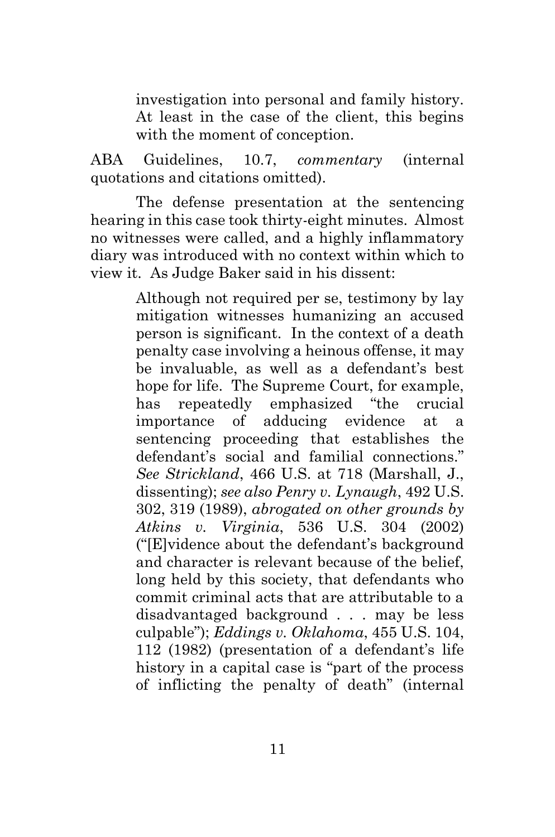investigation into personal and family history. At least in the case of the client, this begins with the moment of conception.

ABA Guidelines, 10.7, *commentary* (internal quotations and citations omitted).

The defense presentation at the sentencing hearing in this case took thirty-eight minutes. Almost no witnesses were called, and a highly inflammatory diary was introduced with no context within which to view it. As Judge Baker said in his dissent:

> Although not required per se, testimony by lay mitigation witnesses humanizing an accused person is significant. In the context of a death penalty case involving a heinous offense, it may be invaluable, as well as a defendant's best hope for life. The Supreme Court, for example, has repeatedly emphasized "the crucial importance of adducing evidence at a sentencing proceeding that establishes the defendant's social and familial connections." *See Strickland*, 466 U.S. at 718 (Marshall, J., dissenting); *see also Penry v. Lynaugh*, 492 U.S. 302, 319 (1989), *abrogated on other grounds by Atkins v. Virginia*, 536 U.S. 304 (2002) ("[E]vidence about the defendant's background and character is relevant because of the belief, long held by this society, that defendants who commit criminal acts that are attributable to a disadvantaged background . . . may be less culpable"); *Eddings v. Oklahoma*, 455 U.S. 104, 112 (1982) (presentation of a defendant's life history in a capital case is "part of the process of inflicting the penalty of death" (internal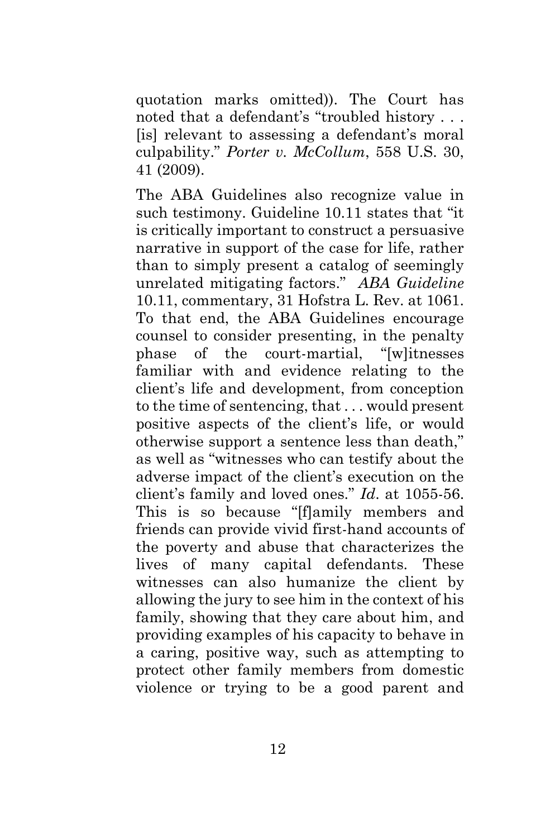quotation marks omitted)). The Court has noted that a defendant's "troubled history . . . [is] relevant to assessing a defendant's moral culpability." *Porter v. McCollum*, 558 U.S. 30, 41 (2009).

The ABA Guidelines also recognize value in such testimony. Guideline 10.11 states that "it is critically important to construct a persuasive narrative in support of the case for life, rather than to simply present a catalog of seemingly unrelated mitigating factors." *ABA Guideline*  10.11, commentary, 31 Hofstra L. Rev. at 1061. To that end, the ABA Guidelines encourage counsel to consider presenting, in the penalty phase of the court-martial, "[w]itnesses familiar with and evidence relating to the client's life and development, from conception to the time of sentencing, that . . . would present positive aspects of the client's life, or would otherwise support a sentence less than death," as well as "witnesses who can testify about the adverse impact of the client's execution on the client's family and loved ones." *Id*. at 1055-56. This is so because "[f]amily members and friends can provide vivid first-hand accounts of the poverty and abuse that characterizes the lives of many capital defendants. These witnesses can also humanize the client by allowing the jury to see him in the context of his family, showing that they care about him, and providing examples of his capacity to behave in a caring, positive way, such as attempting to protect other family members from domestic violence or trying to be a good parent and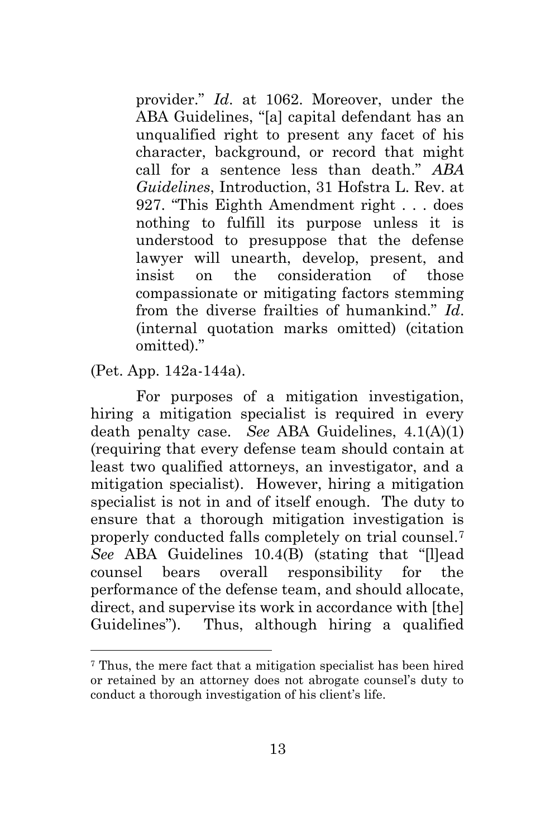provider." *Id*. at 1062. Moreover, under the ABA Guidelines, "[a] capital defendant has an unqualified right to present any facet of his character, background, or record that might call for a sentence less than death." *ABA Guidelines*, Introduction, 31 Hofstra L. Rev. at 927. "This Eighth Amendment right . . . does nothing to fulfill its purpose unless it is understood to presuppose that the defense lawyer will unearth, develop, present, and insist on the consideration of those compassionate or mitigating factors stemming from the diverse frailties of humankind." *Id*. (internal quotation marks omitted) (citation omitted)."

(Pet. App. 142a-144a).

 $\overline{a}$ 

For purposes of a mitigation investigation, hiring a mitigation specialist is required in every death penalty case. *See* ABA Guidelines, 4.1(A)(1) (requiring that every defense team should contain at least two qualified attorneys, an investigator, and a mitigation specialist). However, hiring a mitigation specialist is not in and of itself enough. The duty to ensure that a thorough mitigation investigation is properly conducted falls completely on trial counsel.<sup>7</sup> *See* ABA Guidelines 10.4(B) (stating that "[l]ead counsel bears overall responsibility for the performance of the defense team, and should allocate, direct, and supervise its work in accordance with [the] Guidelines"). Thus, although hiring a qualified

<sup>7</sup> Thus, the mere fact that a mitigation specialist has been hired or retained by an attorney does not abrogate counsel's duty to conduct a thorough investigation of his client's life.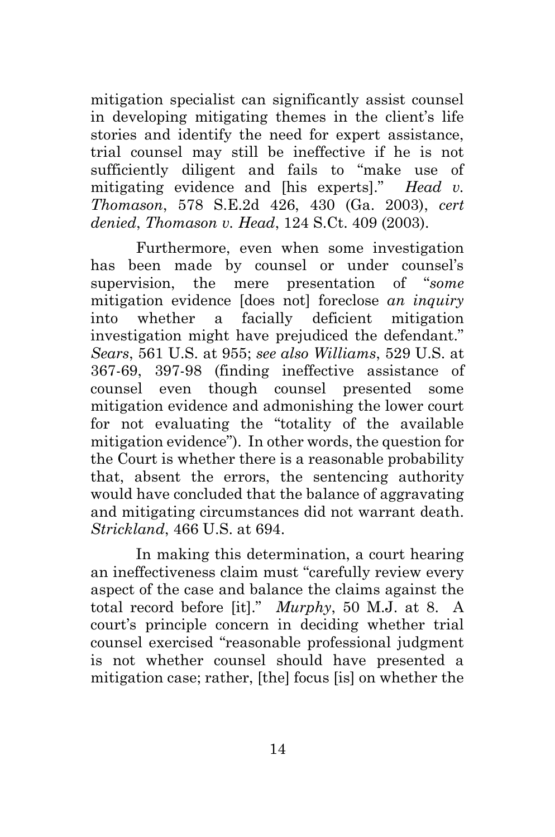mitigation specialist can significantly assist counsel in developing mitigating themes in the client's life stories and identify the need for expert assistance, trial counsel may still be ineffective if he is not sufficiently diligent and fails to "make use of mitigating evidence and [his experts]." *Head v. Thomason*, 578 S.E.2d 426, 430 (Ga. 2003), *cert denied*, *Thomason v. Head*, 124 S.Ct. 409 (2003).

Furthermore, even when some investigation has been made by counsel or under counsel's supervision, the mere presentation of "*some* mitigation evidence [does not] foreclose *an inquiry* into whether a facially deficient mitigation investigation might have prejudiced the defendant." *Sears*, 561 U.S. at 955; *see also Williams*, 529 U.S. at 367-69, 397-98 (finding ineffective assistance of counsel even though counsel presented some mitigation evidence and admonishing the lower court for not evaluating the "totality of the available mitigation evidence"). In other words, the question for the Court is whether there is a reasonable probability that, absent the errors, the sentencing authority would have concluded that the balance of aggravating and mitigating circumstances did not warrant death. *Strickland*, 466 U.S. at 694.

In making this determination, a court hearing an ineffectiveness claim must "carefully review every aspect of the case and balance the claims against the total record before [it]." *Murphy*, 50 M.J. at 8. A court's principle concern in deciding whether trial counsel exercised "reasonable professional judgment is not whether counsel should have presented a mitigation case; rather, [the] focus [is] on whether the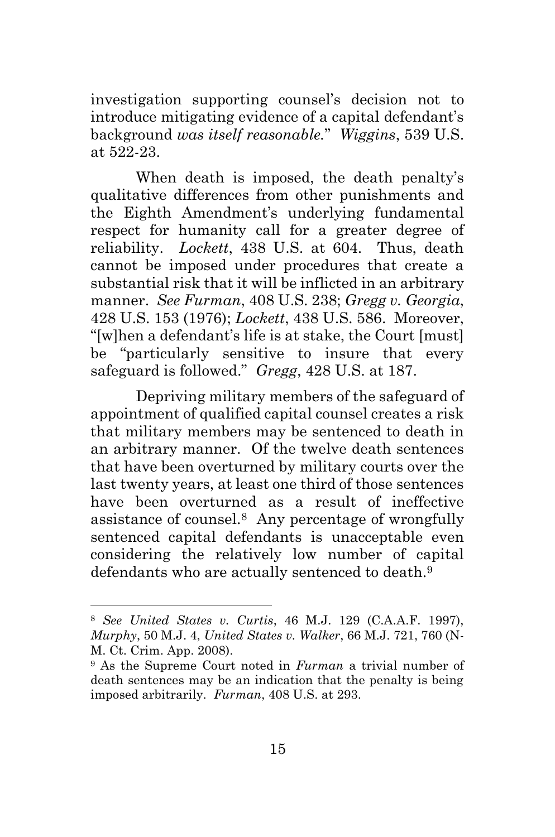investigation supporting counsel's decision not to introduce mitigating evidence of a capital defendant's background *was itself reasonable.*" *Wiggins*, 539 U.S. at 522-23.

When death is imposed, the death penalty's qualitative differences from other punishments and the Eighth Amendment's underlying fundamental respect for humanity call for a greater degree of reliability. *Lockett*, 438 U.S. at 604. Thus, death cannot be imposed under procedures that create a substantial risk that it will be inflicted in an arbitrary manner. *See Furman*, 408 U.S. 238; *Gregg v. Georgia*, 428 U.S. 153 (1976); *Lockett*, 438 U.S. 586. Moreover, "[w]hen a defendant's life is at stake, the Court [must] be "particularly sensitive to insure that every safeguard is followed." *Gregg*, 428 U.S. at 187.

Depriving military members of the safeguard of appointment of qualified capital counsel creates a risk that military members may be sentenced to death in an arbitrary manner. Of the twelve death sentences that have been overturned by military courts over the last twenty years, at least one third of those sentences have been overturned as a result of ineffective assistance of counsel.8 Any percentage of wrongfully sentenced capital defendants is unacceptable even considering the relatively low number of capital defendants who are actually sentenced to death.<sup>9</sup>

<sup>8</sup> *See United States v. Curtis*, 46 M.J. 129 (C.A.A.F. 1997), *Murphy*, 50 M.J. 4, *United States v. Walker*, 66 M.J. 721, 760 (N-M. Ct. Crim. App. 2008).

<sup>9</sup> As the Supreme Court noted in *Furman* a trivial number of death sentences may be an indication that the penalty is being imposed arbitrarily. *Furman*, 408 U.S. at 293.